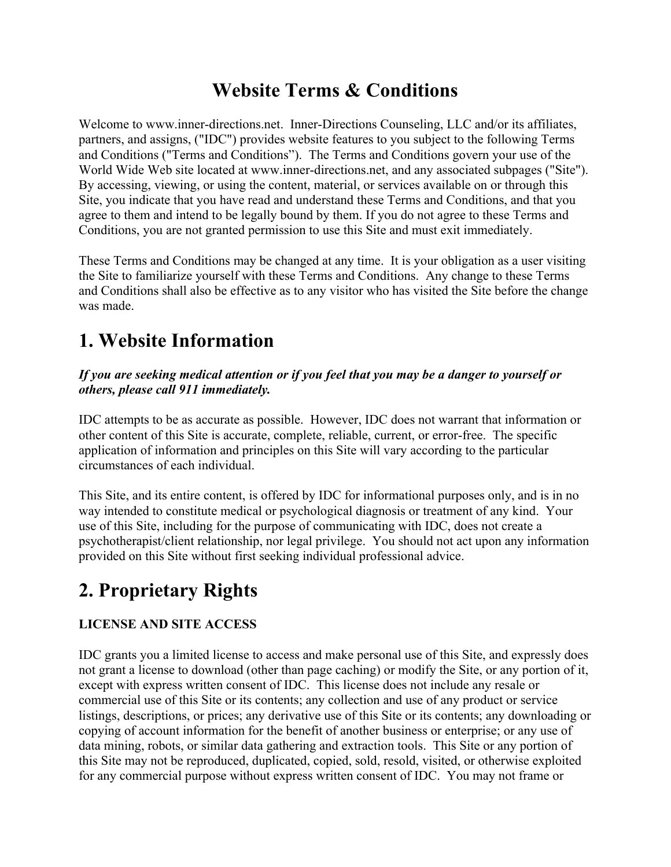### **Website Terms & Conditions**

Welcome to www.inner-directions.net. Inner-Directions Counseling, LLC and/or its affiliates, partners, and assigns, ("IDC") provides website features to you subject to the following Terms and Conditions ("Terms and Conditions"). The Terms and Conditions govern your use of the World Wide Web site located at www.inner-directions.net, and any associated subpages ("Site"). By accessing, viewing, or using the content, material, or services available on or through this Site, you indicate that you have read and understand these Terms and Conditions, and that you agree to them and intend to be legally bound by them. If you do not agree to these Terms and Conditions, you are not granted permission to use this Site and must exit immediately.

These Terms and Conditions may be changed at any time. It is your obligation as a user visiting the Site to familiarize yourself with these Terms and Conditions. Any change to these Terms and Conditions shall also be effective as to any visitor who has visited the Site before the change was made.

# **1. Website Information**

#### *If you are seeking medical attention or if you feel that you may be a danger to yourself or others, please call 911 immediately.*

IDC attempts to be as accurate as possible. However, IDC does not warrant that information or other content of this Site is accurate, complete, reliable, current, or error-free. The specific application of information and principles on this Site will vary according to the particular circumstances of each individual.

This Site, and its entire content, is offered by IDC for informational purposes only, and is in no way intended to constitute medical or psychological diagnosis or treatment of any kind. Your use of this Site, including for the purpose of communicating with IDC, does not create a psychotherapist/client relationship, nor legal privilege. You should not act upon any information provided on this Site without first seeking individual professional advice.

# **2. Proprietary Rights**

#### **LICENSE AND SITE ACCESS**

IDC grants you a limited license to access and make personal use of this Site, and expressly does not grant a license to download (other than page caching) or modify the Site, or any portion of it, except with express written consent of IDC. This license does not include any resale or commercial use of this Site or its contents; any collection and use of any product or service listings, descriptions, or prices; any derivative use of this Site or its contents; any downloading or copying of account information for the benefit of another business or enterprise; or any use of data mining, robots, or similar data gathering and extraction tools. This Site or any portion of this Site may not be reproduced, duplicated, copied, sold, resold, visited, or otherwise exploited for any commercial purpose without express written consent of IDC. You may not frame or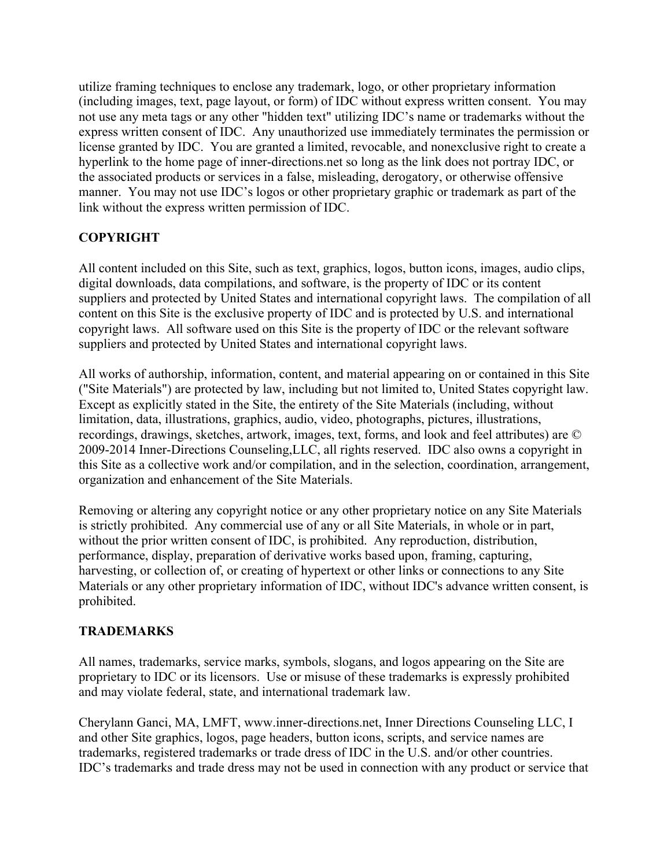utilize framing techniques to enclose any trademark, logo, or other proprietary information (including images, text, page layout, or form) of IDC without express written consent. You may not use any meta tags or any other "hidden text" utilizing IDC's name or trademarks without the express written consent of IDC. Any unauthorized use immediately terminates the permission or license granted by IDC. You are granted a limited, revocable, and nonexclusive right to create a hyperlink to the home page of inner-directions.net so long as the link does not portray IDC, or the associated products or services in a false, misleading, derogatory, or otherwise offensive manner. You may not use IDC's logos or other proprietary graphic or trademark as part of the link without the express written permission of IDC.

#### **COPYRIGHT**

All content included on this Site, such as text, graphics, logos, button icons, images, audio clips, digital downloads, data compilations, and software, is the property of IDC or its content suppliers and protected by United States and international copyright laws. The compilation of all content on this Site is the exclusive property of IDC and is protected by U.S. and international copyright laws. All software used on this Site is the property of IDC or the relevant software suppliers and protected by United States and international copyright laws.

All works of authorship, information, content, and material appearing on or contained in this Site ("Site Materials") are protected by law, including but not limited to, United States copyright law. Except as explicitly stated in the Site, the entirety of the Site Materials (including, without limitation, data, illustrations, graphics, audio, video, photographs, pictures, illustrations, recordings, drawings, sketches, artwork, images, text, forms, and look and feel attributes) are © 2009-2014 Inner-Directions Counseling,LLC, all rights reserved. IDC also owns a copyright in this Site as a collective work and/or compilation, and in the selection, coordination, arrangement, organization and enhancement of the Site Materials.

Removing or altering any copyright notice or any other proprietary notice on any Site Materials is strictly prohibited. Any commercial use of any or all Site Materials, in whole or in part, without the prior written consent of IDC, is prohibited. Any reproduction, distribution, performance, display, preparation of derivative works based upon, framing, capturing, harvesting, or collection of, or creating of hypertext or other links or connections to any Site Materials or any other proprietary information of IDC, without IDC's advance written consent, is prohibited.

#### **TRADEMARKS**

All names, trademarks, service marks, symbols, slogans, and logos appearing on the Site are proprietary to IDC or its licensors. Use or misuse of these trademarks is expressly prohibited and may violate federal, state, and international trademark law.

Cherylann Ganci, MA, LMFT, www.inner-directions.net, Inner Directions Counseling LLC, I and other Site graphics, logos, page headers, button icons, scripts, and service names are trademarks, registered trademarks or trade dress of IDC in the U.S. and/or other countries. IDC's trademarks and trade dress may not be used in connection with any product or service that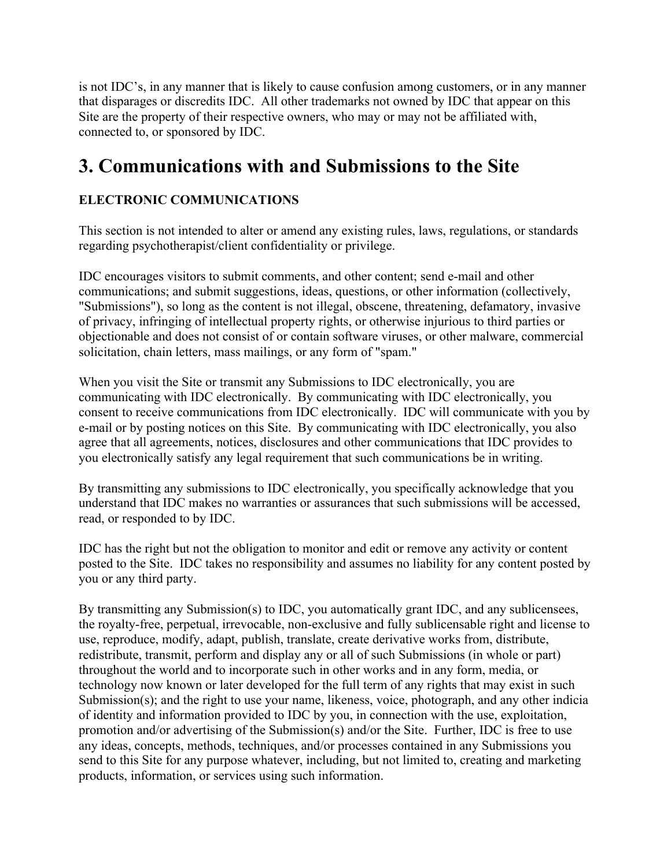is not IDC's, in any manner that is likely to cause confusion among customers, or in any manner that disparages or discredits IDC. All other trademarks not owned by IDC that appear on this Site are the property of their respective owners, who may or may not be affiliated with, connected to, or sponsored by IDC.

### **3. Communications with and Submissions to the Site**

### **ELECTRONIC COMMUNICATIONS**

This section is not intended to alter or amend any existing rules, laws, regulations, or standards regarding psychotherapist/client confidentiality or privilege.

IDC encourages visitors to submit comments, and other content; send e-mail and other communications; and submit suggestions, ideas, questions, or other information (collectively, "Submissions"), so long as the content is not illegal, obscene, threatening, defamatory, invasive of privacy, infringing of intellectual property rights, or otherwise injurious to third parties or objectionable and does not consist of or contain software viruses, or other malware, commercial solicitation, chain letters, mass mailings, or any form of "spam."

When you visit the Site or transmit any Submissions to IDC electronically, you are communicating with IDC electronically. By communicating with IDC electronically, you consent to receive communications from IDC electronically. IDC will communicate with you by e-mail or by posting notices on this Site. By communicating with IDC electronically, you also agree that all agreements, notices, disclosures and other communications that IDC provides to you electronically satisfy any legal requirement that such communications be in writing.

By transmitting any submissions to IDC electronically, you specifically acknowledge that you understand that IDC makes no warranties or assurances that such submissions will be accessed, read, or responded to by IDC.

IDC has the right but not the obligation to monitor and edit or remove any activity or content posted to the Site. IDC takes no responsibility and assumes no liability for any content posted by you or any third party.

By transmitting any Submission(s) to IDC, you automatically grant IDC, and any sublicensees, the royalty-free, perpetual, irrevocable, non-exclusive and fully sublicensable right and license to use, reproduce, modify, adapt, publish, translate, create derivative works from, distribute, redistribute, transmit, perform and display any or all of such Submissions (in whole or part) throughout the world and to incorporate such in other works and in any form, media, or technology now known or later developed for the full term of any rights that may exist in such Submission(s); and the right to use your name, likeness, voice, photograph, and any other indicia of identity and information provided to IDC by you, in connection with the use, exploitation, promotion and/or advertising of the Submission(s) and/or the Site. Further, IDC is free to use any ideas, concepts, methods, techniques, and/or processes contained in any Submissions you send to this Site for any purpose whatever, including, but not limited to, creating and marketing products, information, or services using such information.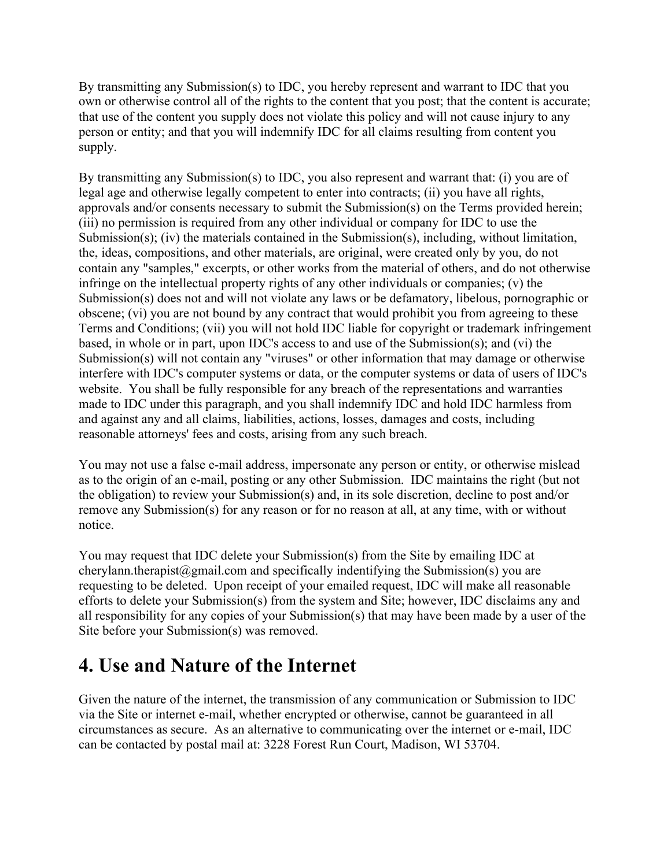By transmitting any Submission(s) to IDC, you hereby represent and warrant to IDC that you own or otherwise control all of the rights to the content that you post; that the content is accurate; that use of the content you supply does not violate this policy and will not cause injury to any person or entity; and that you will indemnify IDC for all claims resulting from content you supply.

By transmitting any Submission(s) to IDC, you also represent and warrant that: (i) you are of legal age and otherwise legally competent to enter into contracts; (ii) you have all rights, approvals and/or consents necessary to submit the Submission(s) on the Terms provided herein; (iii) no permission is required from any other individual or company for IDC to use the Submission(s); (iv) the materials contained in the Submission(s), including, without limitation, the, ideas, compositions, and other materials, are original, were created only by you, do not contain any "samples," excerpts, or other works from the material of others, and do not otherwise infringe on the intellectual property rights of any other individuals or companies; (v) the Submission(s) does not and will not violate any laws or be defamatory, libelous, pornographic or obscene; (vi) you are not bound by any contract that would prohibit you from agreeing to these Terms and Conditions; (vii) you will not hold IDC liable for copyright or trademark infringement based, in whole or in part, upon IDC's access to and use of the Submission(s); and (vi) the Submission(s) will not contain any "viruses" or other information that may damage or otherwise interfere with IDC's computer systems or data, or the computer systems or data of users of IDC's website. You shall be fully responsible for any breach of the representations and warranties made to IDC under this paragraph, and you shall indemnify IDC and hold IDC harmless from and against any and all claims, liabilities, actions, losses, damages and costs, including reasonable attorneys' fees and costs, arising from any such breach.

You may not use a false e-mail address, impersonate any person or entity, or otherwise mislead as to the origin of an e-mail, posting or any other Submission. IDC maintains the right (but not the obligation) to review your Submission(s) and, in its sole discretion, decline to post and/or remove any Submission(s) for any reason or for no reason at all, at any time, with or without notice.

You may request that IDC delete your Submission(s) from the Site by emailing IDC at cherylann.therapist@gmail.com and specifically indentifying the Submission(s) you are requesting to be deleted. Upon receipt of your emailed request, IDC will make all reasonable efforts to delete your Submission(s) from the system and Site; however, IDC disclaims any and all responsibility for any copies of your Submission(s) that may have been made by a user of the Site before your Submission(s) was removed.

# **4. Use and Nature of the Internet**

Given the nature of the internet, the transmission of any communication or Submission to IDC via the Site or internet e-mail, whether encrypted or otherwise, cannot be guaranteed in all circumstances as secure. As an alternative to communicating over the internet or e-mail, IDC can be contacted by postal mail at: 3228 Forest Run Court, Madison, WI 53704.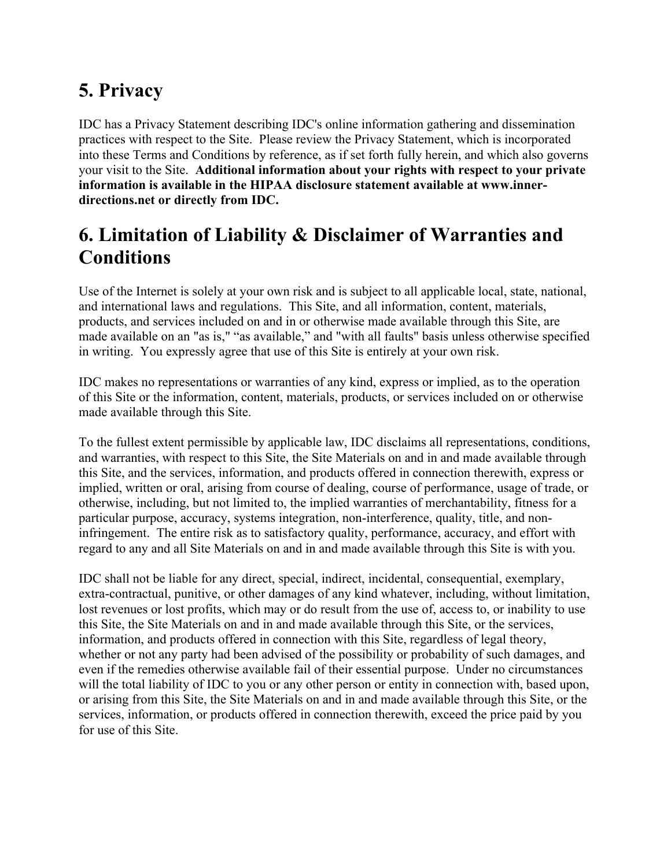# **5. Privacy**

IDC has a Privacy Statement describing IDC's online information gathering and dissemination practices with respect to the Site. Please review the Privacy Statement, which is incorporated into these Terms and Conditions by reference, as if set forth fully herein, and which also governs your visit to the Site. **Additional information about your rights with respect to your private information is available in the HIPAA disclosure statement available at www.innerdirections.net or directly from IDC.**

# **6. Limitation of Liability & Disclaimer of Warranties and Conditions**

Use of the Internet is solely at your own risk and is subject to all applicable local, state, national, and international laws and regulations. This Site, and all information, content, materials, products, and services included on and in or otherwise made available through this Site, are made available on an "as is," "as available," and "with all faults" basis unless otherwise specified in writing. You expressly agree that use of this Site is entirely at your own risk.

IDC makes no representations or warranties of any kind, express or implied, as to the operation of this Site or the information, content, materials, products, or services included on or otherwise made available through this Site.

To the fullest extent permissible by applicable law, IDC disclaims all representations, conditions, and warranties, with respect to this Site, the Site Materials on and in and made available through this Site, and the services, information, and products offered in connection therewith, express or implied, written or oral, arising from course of dealing, course of performance, usage of trade, or otherwise, including, but not limited to, the implied warranties of merchantability, fitness for a particular purpose, accuracy, systems integration, non-interference, quality, title, and noninfringement. The entire risk as to satisfactory quality, performance, accuracy, and effort with regard to any and all Site Materials on and in and made available through this Site is with you.

IDC shall not be liable for any direct, special, indirect, incidental, consequential, exemplary, extra-contractual, punitive, or other damages of any kind whatever, including, without limitation, lost revenues or lost profits, which may or do result from the use of, access to, or inability to use this Site, the Site Materials on and in and made available through this Site, or the services, information, and products offered in connection with this Site, regardless of legal theory, whether or not any party had been advised of the possibility or probability of such damages, and even if the remedies otherwise available fail of their essential purpose. Under no circumstances will the total liability of IDC to you or any other person or entity in connection with, based upon, or arising from this Site, the Site Materials on and in and made available through this Site, or the services, information, or products offered in connection therewith, exceed the price paid by you for use of this Site.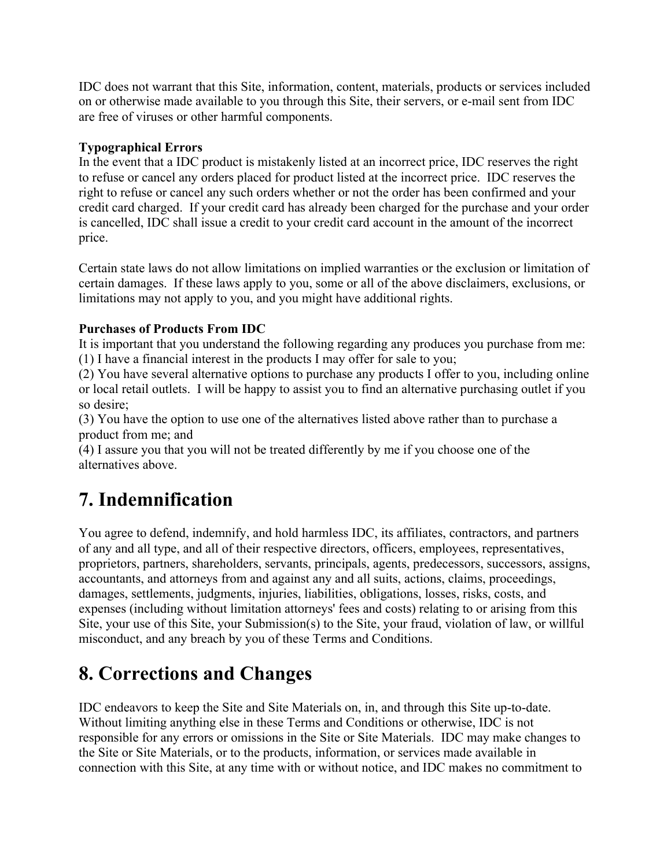IDC does not warrant that this Site, information, content, materials, products or services included on or otherwise made available to you through this Site, their servers, or e-mail sent from IDC are free of viruses or other harmful components.

#### **Typographical Errors**

In the event that a IDC product is mistakenly listed at an incorrect price, IDC reserves the right to refuse or cancel any orders placed for product listed at the incorrect price. IDC reserves the right to refuse or cancel any such orders whether or not the order has been confirmed and your credit card charged. If your credit card has already been charged for the purchase and your order is cancelled, IDC shall issue a credit to your credit card account in the amount of the incorrect price.

Certain state laws do not allow limitations on implied warranties or the exclusion or limitation of certain damages. If these laws apply to you, some or all of the above disclaimers, exclusions, or limitations may not apply to you, and you might have additional rights.

#### **Purchases of Products From IDC**

It is important that you understand the following regarding any produces you purchase from me: (1) I have a financial interest in the products I may offer for sale to you;

(2) You have several alternative options to purchase any products I offer to you, including online or local retail outlets. I will be happy to assist you to find an alternative purchasing outlet if you so desire;

(3) You have the option to use one of the alternatives listed above rather than to purchase a product from me; and

(4) I assure you that you will not be treated differently by me if you choose one of the alternatives above.

# **7. Indemnification**

You agree to defend, indemnify, and hold harmless IDC, its affiliates, contractors, and partners of any and all type, and all of their respective directors, officers, employees, representatives, proprietors, partners, shareholders, servants, principals, agents, predecessors, successors, assigns, accountants, and attorneys from and against any and all suits, actions, claims, proceedings, damages, settlements, judgments, injuries, liabilities, obligations, losses, risks, costs, and expenses (including without limitation attorneys' fees and costs) relating to or arising from this Site, your use of this Site, your Submission(s) to the Site, your fraud, violation of law, or willful misconduct, and any breach by you of these Terms and Conditions.

### **8. Corrections and Changes**

IDC endeavors to keep the Site and Site Materials on, in, and through this Site up-to-date. Without limiting anything else in these Terms and Conditions or otherwise, IDC is not responsible for any errors or omissions in the Site or Site Materials. IDC may make changes to the Site or Site Materials, or to the products, information, or services made available in connection with this Site, at any time with or without notice, and IDC makes no commitment to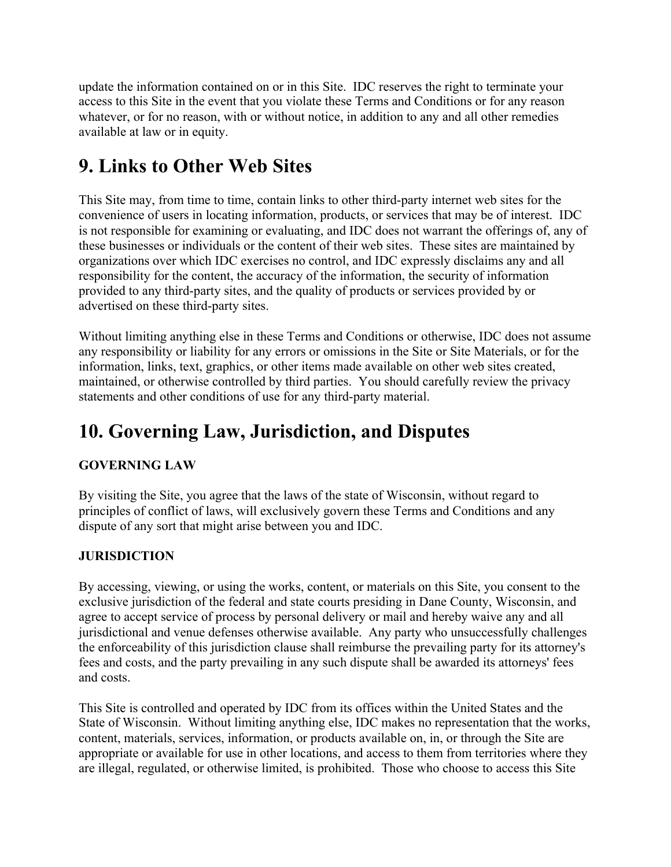update the information contained on or in this Site. IDC reserves the right to terminate your access to this Site in the event that you violate these Terms and Conditions or for any reason whatever, or for no reason, with or without notice, in addition to any and all other remedies available at law or in equity.

# **9. Links to Other Web Sites**

This Site may, from time to time, contain links to other third-party internet web sites for the convenience of users in locating information, products, or services that may be of interest. IDC is not responsible for examining or evaluating, and IDC does not warrant the offerings of, any of these businesses or individuals or the content of their web sites. These sites are maintained by organizations over which IDC exercises no control, and IDC expressly disclaims any and all responsibility for the content, the accuracy of the information, the security of information provided to any third-party sites, and the quality of products or services provided by or advertised on these third-party sites.

Without limiting anything else in these Terms and Conditions or otherwise, IDC does not assume any responsibility or liability for any errors or omissions in the Site or Site Materials, or for the information, links, text, graphics, or other items made available on other web sites created, maintained, or otherwise controlled by third parties. You should carefully review the privacy statements and other conditions of use for any third-party material.

# **10. Governing Law, Jurisdiction, and Disputes**

#### **GOVERNING LAW**

By visiting the Site, you agree that the laws of the state of Wisconsin, without regard to principles of conflict of laws, will exclusively govern these Terms and Conditions and any dispute of any sort that might arise between you and IDC.

#### **JURISDICTION**

By accessing, viewing, or using the works, content, or materials on this Site, you consent to the exclusive jurisdiction of the federal and state courts presiding in Dane County, Wisconsin, and agree to accept service of process by personal delivery or mail and hereby waive any and all jurisdictional and venue defenses otherwise available. Any party who unsuccessfully challenges the enforceability of this jurisdiction clause shall reimburse the prevailing party for its attorney's fees and costs, and the party prevailing in any such dispute shall be awarded its attorneys' fees and costs.

This Site is controlled and operated by IDC from its offices within the United States and the State of Wisconsin. Without limiting anything else, IDC makes no representation that the works, content, materials, services, information, or products available on, in, or through the Site are appropriate or available for use in other locations, and access to them from territories where they are illegal, regulated, or otherwise limited, is prohibited. Those who choose to access this Site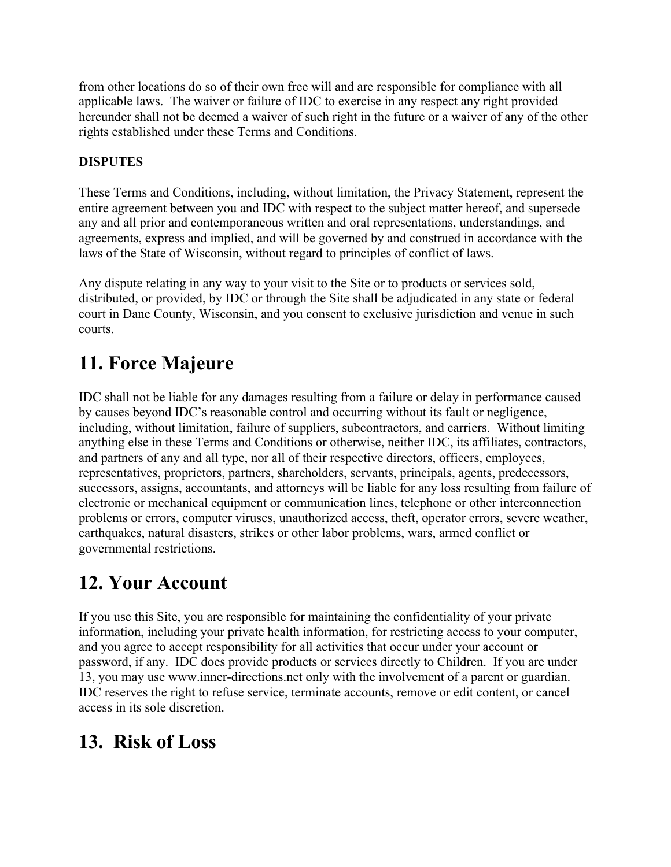from other locations do so of their own free will and are responsible for compliance with all applicable laws. The waiver or failure of IDC to exercise in any respect any right provided hereunder shall not be deemed a waiver of such right in the future or a waiver of any of the other rights established under these Terms and Conditions.

### **DISPUTES**

These Terms and Conditions, including, without limitation, the Privacy Statement, represent the entire agreement between you and IDC with respect to the subject matter hereof, and supersede any and all prior and contemporaneous written and oral representations, understandings, and agreements, express and implied, and will be governed by and construed in accordance with the laws of the State of Wisconsin, without regard to principles of conflict of laws.

Any dispute relating in any way to your visit to the Site or to products or services sold, distributed, or provided, by IDC or through the Site shall be adjudicated in any state or federal court in Dane County, Wisconsin, and you consent to exclusive jurisdiction and venue in such courts.

# **11. Force Majeure**

IDC shall not be liable for any damages resulting from a failure or delay in performance caused by causes beyond IDC's reasonable control and occurring without its fault or negligence, including, without limitation, failure of suppliers, subcontractors, and carriers. Without limiting anything else in these Terms and Conditions or otherwise, neither IDC, its affiliates, contractors, and partners of any and all type, nor all of their respective directors, officers, employees, representatives, proprietors, partners, shareholders, servants, principals, agents, predecessors, successors, assigns, accountants, and attorneys will be liable for any loss resulting from failure of electronic or mechanical equipment or communication lines, telephone or other interconnection problems or errors, computer viruses, unauthorized access, theft, operator errors, severe weather, earthquakes, natural disasters, strikes or other labor problems, wars, armed conflict or governmental restrictions.

### **12. Your Account**

If you use this Site, you are responsible for maintaining the confidentiality of your private information, including your private health information, for restricting access to your computer, and you agree to accept responsibility for all activities that occur under your account or password, if any. IDC does provide products or services directly to Children. If you are under 13, you may use www.inner-directions.net only with the involvement of a parent or guardian. IDC reserves the right to refuse service, terminate accounts, remove or edit content, or cancel access in its sole discretion.

### **13. Risk of Loss**